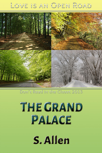# LOVE IS AN OPEN ROAD



## Don't Read in the Closet 2015

# **THE GRAND PALACE**

# S. Allen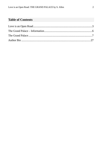### **Table of Contents**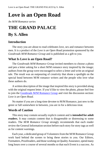## <span id="page-2-0"></span>**Love is an Open Road**

*An M/M Romance series*

### **THE GRAND PALACE**

### **By S. Allen**

#### **Introduction**

The story you are about to read celebrates love, sex and romance between men. It is a product of the *Love is an Open Road* promotion sponsored by the *Goodreads M/M Romance Group* and is published as a gift to you.

### **What Is Love is an Open Road?**

The *Goodreads M/M Romance Group* invited members to choose a photo and pen a letter asking for a short M/M romance story inspired by the image; authors from the group were encouraged to select a letter and write an original tale. The result was an outpouring of creativity that shone a spotlight on the special bond between M/M romance writers and the people who love what these authors do.

A written description of the image that inspired this story is provided along with the original request letter. If you'd like to view the photo, please feel free to join the [Goodreads M/M Romance Group](http://www.goodreads.com/group/show/20149-m-m-romance) and visit the discussion section: *Love is an Open Road*.

No matter if you are a long-time devotee to M/M Romance, just new to the genre or fall somewhere in between, you are in for a delicious treat.

#### **Words of Caution**

This story may contain sexually explicit content and is **intended for adult readers.** It may contain content that is disagreeable or distressing to some readers. The *M/M Romance Group* strongly recommends that each reader review the General Information section before each story for story tags as well as for content warnings.

Each year, a dedicated group of Volunteers from the M/M Romance Group work hard behind the scenes to bring these stories to you. Our Editors, Formatters, Proofreaders, and those working on Quality Assurance, spend many long hours over a course of several months so that each Event is a success. As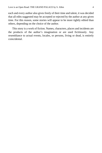each and every author also gives freely of their time and talent, it was decided that all edits suggested may be accepted or rejected by the author at any given time. For this reason, some stories will appear to be more tightly edited than others, depending on the choice of the author.

This story is a work of fiction. Names, characters, places and incidents are the products of the author's imagination or are used fictitiously. Any resemblance to actual events, locales, or persons, living or dead, is entirely coincidental.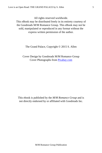All rights reserved worldwide.

This eBook may be distributed freely in its entirety courtesy of the Goodreads M/M Romance Group. This eBook may not be sold, manipulated or reproduced in any format without the express written permission of the author.

The Grand Palace, Copyright © 2015 S. Allen

Cover Design by Goodreads M/M Romance Group Cover Photographs from [Pixabay.com](http://pixabay.com/en/)

<span id="page-4-0"></span>This ebook is published by the *M/M Romance Group* and is not directly endorsed by or affiliated with Goodreads Inc.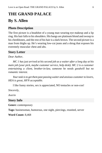# **THE GRAND PALACE By S. Allen**

### **Photo Description**

The first picture is a headshot of a young man wearing eye makeup and a lip ring. His hair falls to his shoulders. His bangs are platinum blond and swoop to his cheekbones, and the rest of his hair is a dark brown. The second picture is a man from thighs up. He's wearing low-cut jeans and a shrug that exposes his extremely muscular chest and abs.

### **Story Letter**

*Dear Author,*

*MC 1 has just arrived at his second job as a waiter after a long day at his main job (your pick, maybe customer service, help desk). MC 2 is a customer entertaining a client, brother-in-law, someone he needs goodwill but no romantic interest.*

*Your task is to get them past passing waiter and anxious customer to lovers, HEA is great, HFN acceptable.*

I like funny stories, sex is appreciated, NO tentacles or non-con!

*Sincerely,*

*Averin*

#### **Story Info**

**Genre:** contemporary

**Tags:** businessman, humorous, one night, piercings, reunited, server

**Word Count:** 8,468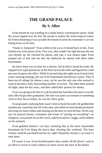# **THE GRAND PALACE**

### **By S. Allen**

<span id="page-6-0"></span>Evan dreamt he was standing on a sandy beach, watching the sunset, while the waves lapped over his feet. He awoke to realize the warm tropical waters he'd been dreaming of was actually the stream of urine his roommate's cat was letting loose on his feet.

"Damn it, Sampson!" Evan yelled at the cat as it hissed back at him. Evan looked over at his alarm clock. Four a.m., that couldn't be right because the sun was already up. He checked his phone, and yup, it was almost eight. Evan jumped out of bed and ran into the bathroom he shared with three other housemates.

He knew there was no time for a shower, but he had to brush his teeth. He stepped over a girl passed out on the floor next to the toilet and figured he could pee once he got to the office. While Evan had slept the night away locked in his room, wearing earplugs, the rest of his housemates had thrown a party. They'd been out of college for almost a year, yet he was the only one who seemed to want to become a fully functioning member of society. The other three partied all night, slept the day away, and then called their parents for money.

Evan was going to be late to a job he hated but had taken because it was the only offer he got after graduation. His title was junior accountant or something close to that, but in reality, he was the office gofer.

Evan groaned, realizing there wasn't time to brush his teeth. He grabbed the mouthwash, rinsed his feet off in the sink, and rolled on fresh deodorant before throwing on clean clothes and running out the door to catch the bus. On his way out, he noticed Jeremy, roommate and owner of "peeing on everything" cat Sampson, was passed out on the couch, naked except for a soggy, used condom on his stomach.

Evan grabbed Jeremy's car keys, knowing that as the most responsible housemate he'd be doing the heavy-duty cleaning this weekend. The least Jeremy could do was lend Evan his car, right? Hopefully Jeremy's car wasn't a total mess.

Of course it was. Evan brushed potato chip crumbs off the driver's seat in an effort to arrive at work without oil stains across the back of his khakis.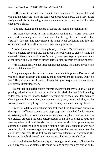Traffic wasn't bad, and Evan ran into the office only five minutes late and one minute before he heard his name being bellowed across the office. Evan straightened his tie, knowing it was a metaphoric leash, and walked into the executive's office.

"Yes, sir?" Evan asked instead of telling the man to go fuck himself.

"Ethan, my boy, come in." Mr. Stillson waved him in. It wasn't even nine a.m., and he already had sweat stains visible through his shirt. And really, "Ethan"? The man had remembered his name when beckoning him into his office but couldn't recall it once he made his appearance?

"Ernie, I have a very important job for you today." Mr. Stillson shoved an entire chocolate croissant into his mouth, not bothering to close it while he chewed. "After you proof Johnson's report, I need you to pick up some clients at the airport and take them to dinner before dropping them off at their hotel."

"Mr. Stillson, sir, I've got three reports due today. Isn't there anyone else that can pick them up?"

"Edgar, everyone else has much more important things to do. I've e-mailed you their flight itinerary and already made reservations for dinner. Don't be late." He picked up the phone and began listing off requests to his secretary, effectively dismissing Evan.

Evan turned and huffed out his frustration, knowing there was no way out of playing babysitter tonight. As he walked to his desk, he saw Mitch playing video games on his phone, Sylvia watching cat videos, and Jon actually sleeping under his desk. Yup, everyone was very busy doing jack shit, and he was responsible for getting those reports in today and chauffeuring clients.

Evan worked through lunch and hit a fast-food drive-through on his way to the airport. Traffic was a beast: start, stop, stop, start. They had finally made it up to twenty miles an hour when it came to a screeching halt. Evan slammed on the brakes, dropping his chili cheeseburger in his lap in order to grab the steering wheel with both hands. He drove onto the shoulder, preventing an automobile accident, but he couldn't stop the fast-food accident he was now wearing. A chili cheeseburger was apparently not the smartest menu item he could have ordered. He didn't bother with any attempts at rewrapping the burger and simply shoveled bites into his mouth directly from his lap.

Evan took the exit before the airport, hoping to find a strip mall where he could buy some clean clothes. He found nothing except for a gas station and a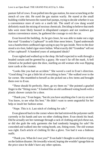pasture full of cows. Evan pulled into the gas station, his nose scrunching at the stench of cow shit. He eyed the gas station warily. He stared at the small building visible between the rusted fuel pumps, trying to decide whether it was a convenience store of sorts or a meth lab. The smell of cow dung would definitely mask the mixing of noxious chemicals. Deciding to believe that meth labs were most likely housed in dilapidated campers and not rundown gas station convenience stores, he gathered the courage to exit the car.

Evan braved the building. As he got closer, he was able to make out a sign that read "Grandma's Cupboard" in unlit blue neon letters. Taped underneath was a handwritten cardboard sign saying to pay for gas inside. Next to the door stood a six-foot, faded cigar-store Indian. What exactly did "Grandma" sell out of her cupboard? A hundred years of antiquated ideals?

Evan sighed and walked up to the shop. He half expected to walk through a beaded curtain and be greeted by a gypsy. He wasn't far off the mark. A bell chimed as he pushed open the door, startling an old woman who was flipping tarot cards at the counter.

"Looks like you had an accident." She waved a card in Evan's direction. "Good thing I've got a little bit of everything in here." She walked over to the far corner. She mumbled to herself as she picked out a few items and brought them over to Evan.

"These should fit perfectly. Here, go try them on." She pointed a gnarled finger to the "fitting room." It looked like an old cardboard voting booth with a plastic shower curtain for a door.

"Thank you," Evan began, "but do you have anything else I can try on too? You know, to see what fits best." He didn't want to seem ungrateful for her help or insult her fashion sense.

"Nope. This is it. Last stitch of clothing for sale."

Evan glanced back to the corner where she had retrieved the polyester outfit currently in his hands and saw no other clothing there. Evan shook his head. Did he actually see her rummage through a rack of clothing and pick these out, or did she grab the only garments she had randomly hanging for sale? He conceded and walked into the voting booth, um, fitting room. The old woman was right. Each article of clothing fit like a glove. Too bad it was a hideous outfit.

"Thank you. What do I owe you?" Evan hadn't thought to ask before trying on the fashion disaster. He inwardly winced, hoping she wouldn't gouge him on the price since he didn't have any other options.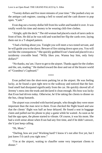"Twenty dollars and five more minutes of your time." She pushed a key on the antique cash register, causing a bell to sound and the cash drawer to pop open. "Cash."

Evan dug out a twenty-dollar bill from his wallet and handed it over. It was totally worth his time and money to be wearing chili-free clothes.

"Alright, split the deck." The old woman had placed a stack of tarot cards in front of him. He did as he was told and watched her flip the cards over, laying them out in a T-shaped pattern.

"I had a feeling about you. Tonight you will meet a two-toned servant, and he will guide you to the dawn. Beware of fire raining down upon you. You will not like the consequences." She quickly grabbed Evan's hand and placed it on a taxidermy crocodile head. "Willy likes you. Wanna buy him, only forty dollars?"

"No thanks, ma'am. I have to get to the airport. Thanks again for the clothes and the, um, reading." He dashed toward the door and out of the bizarre world of "Grandma's Cupboard."

\*\*\*\*

Evan pulled into the short-term parking lot at the airport. He was feeling lucky, as he found a spot right next to the walkway and noticed that the fastfood smell had dissipated significantly from the car. He quickly shoved all of Jeremy's mess into the trunk and declared it clean enough. His boss was lucky that Evan had driven today. Otherwise, he'd be taking the clients to dinner on the bus, cheap bastards.

The airport was crowded with hurried people, who thought they were more important than the man next to them. Evan checked the flight board and saw that the clients' flight was half an hour delayed. He found a seat in baggage claim and pulled out his phone to play a game while he waited. As soon as he had the app open, the phone started to vibrate. Of course, it was his mom. She had a sixth sense about when Evan had any free time, and if he didn't answer, she'd just keep calling.

"Hi, Mom."

"Darling, how are you? Working hard? I know it's not after five yet, but I just knew I'd catch you right now."

"I'm at the airport, waiting to chauffer some very important clients to dinner."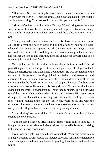"That's nice. So, I was calling because I made dinner reservations for this Friday with the McNeils. Their daughter, Cecile, just graduated from college and is home visiting. You two would make such a perfect couple."

"Mom, we've been over this before. I'm gay. When I bring someone home for you to meet, it will be a man, complete with a penis." Evan had finally come out his junior year in college, even though he'd always known he was gay.

"Evan, you really need to move on from this phase. You've been out of college for a year and need to work on building a family. You need a welleducated woman with the right career path. Cecile wants to be a lawyer, so you two could have a December wedding, and she can carry my grandbabies while she finishes up school, and then they'll be old enough for daycare once she's ready to join the right law firm."

Evan sighed and let his mother rattle on about his future needs. He had played the part of the picture-perfect son since high school. He played football, dated the cheerleader, and maintained good grades. He was accepted into the college of his parents' choosing, joined his father's old fraternity, and continued to date women. It wasn't until he'd almost drunk himself into an early grave that he faced reality. No one looked past the pretty frat boy, who always wore a fake smile to match his fake girlfriend. No one saw that he was dying on in the inside, slowing losing all hope for any happiness. So, he moved out of the fraternity house, cleaned up his act, and came out. His parents were disappointed but chalked the entire thing up to him simply rebelling. He'd been their walking, talking drone for the last twenty years of his life with the exception of a stolen summer no one knew about, so they allowed him the last two years of college to live off campus and stop dating women.

"Evan, darling? Are you still there?" His mother's shrill voice brought him back to the conversation.

"Yes, mother. I'll see you Friday night." There was no point in fighting. He hung up without a good-bye and tried to shake off the self-disgust that talking to his mother always brought on.

Evan stood and held up a printed sign to signal Mr. Yasui and group to him as people began to swarm around the luggage carousel. Ten minutes later, three small men approached Evan and bowed in greeting. Evan bowed awkwardly in return.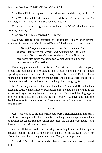"I'm Evan. I'll be taking you to dinner downtown and then to your hotel."

"No. We eat at hotel," Mr. Yasui spoke. Oddly enough, he was wearing a nametag. Mr. Kita and Mr. Matsuo accompanied him.

Evan cocked his head slightly, unsure what to say. "Can I ask why are you wearing nametags?"

"Bob give," Mr. Kita answered. "He leave."

Evan was getting more confused by the minute. Finally, after several minutes of silence, Mr. Yasui handed Evan a folded piece of paper. It read:

*My wife has gone into labor early, and I was unable to find another interpreter for tonight, but someone will be there tomorrow. Please take them to the Grand Palace Hotel and make sure they check in. Afterward, escort them to their room and they will be fine. —Bob*

Evan dragged his hand down his face. Mr. Stillson had left the company credit card number at the restaurant he'd chosen, complete with a limited spending amount. How could he convey this to Mr. Yasui? Fuck it. Evan fanned his fingers out and ran his thumb across the digits several times while shaking his head. That had to be universal sign for money, right?

Mr. Yasui laughed and pulled out a shiny, black Amex card. He nodded his head and stretched his arm forward, signaling for them to get on with it. Evan turned and began leading the way to Jeremy's car. He stacked their luggage in the front seat, since the trunk was full of Jeremy's garbage, and held the backdoor open for them to scoot in. Evan turned the radio up as he drove back into the city.

\*\*\*\*

Casey showed up to his dinner shift at the Great Hall fifteen minutes early. He shoved his bag into his locker and tied the long, starched apron around his thin waist. He touched up his eyeliner before leaving the employee lounge, and headed into the main dining room.

Casey half listened to the shift meeting, pocketing the card with the night's specials before heading to the bar for a quick espresso. Dom, short for Dominique, was bartending and winked at Casey as he approached.

"New do?" She asked, as she slid the black, porcelain espresso cup toward him.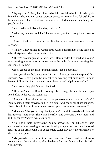"Trying it out." Casey had bleached out the front third of his already lightblond hair. The platinum bangs swooped across his forehead and fell artfully to his cheekbones. The rest of his hair was a rich, dark chocolate and hung just past his collar.

"You totally look like a bad-boy rock star."

"What do you mean look like? I am absolutely a star." Casey blew a kiss to Dom.

"Are you kidding… check out the blind hottie, who was just seated in your section."

"What?" Casey turned to watch three Asian businessmen being seated at table thirty-four, which was in his section.

"There's another guy with them, see." Dom nodded her head as a young man wearing a most unfortunate suit sat at the table. "Any man wearing that suit must be blind."

Casey gasped as the man turned his head. "He's not blind."

"But you think he's cute too." Dom had inaccurately interpreted his surprise. "Well, he's got to be straight to be wearing that pink mess. I might have to follow him into the men's room later on and help him out of it."

"You are a dirty girl." Casey chuckled.

"They don't call me Dom for nothing. I bet I can get his number and cop a feel before he leaves the restaurant."

"Are you talking about the guy in the polyester suit at table thirty-four?" Ashley joined their conversation. "He's cute. And check out those muscles. Even his shirt knows it's a crime to cover up all that yummy man meat."

"Man meat? Are you talking about penises?" Charlotte asked as she loaded her tray with margaritas. She was in her fifties and everyone's work mom, and to hear her say "penis" was disturbing.

"No. Look, table thirty-four," Ashley answered. The subject of their conversation was wearing a cream-colored paisley shirt that only buttoned halfway up his breastbone. The exaggerated collar only drew more attention to the skin on display.

"My prom date wore almost the exact same suit. A real man knows how to wear salmon. Let me tell you, after the dance Burt and I sure rocked his dad's Oldsmobile."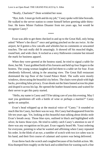"Really, Charlotte?" Dom wrinkled her nose.

"Bye, kids. I must go forth and do my job," Casey spoke with false bravado. He walked to the server station to center himself before greeting table thirtyfour. He knew Mister Fashion Disaster from ten years ago, but would he recognize Casey?

\*\*\*\*

Evan was able to get them checked in and up to the Great Hall, only being asked "Where's the disco?" once and getting pinched on the ass twice. At the airport, he'd gotten a few catcalls and whistles but no comments or unwanted touches. The suit really did fit amazingly. It showed off his muscled thighs, round butt, and wide chest. It rocked as a sexy Halloween costume but missed the mark for business apparel.

When they were greeted at the hostess stand, he tried to signal a table for three, but Mr. Yasui grabbed hold of his forearm and held up four fingers to the hostess. The young woman laughed and led them to a table set for four. Evan obediently followed, taking in the amazing view. The Great Hall restaurant dominated the top floor of the Grand Palace Hotel. The walls were mostly windows, showcasing the beautiful city below. The chairs were plush with high backs, providing false privacy. Evan shook out the linen fanned across his plate and draped it across his lap. He opened the leather-bound menu and waited for their server to get this party started.

"Hello, my name is Casey and I'll be taking care of you this evening. May I start you gentlemen off with a bottle of wine or perhaps a martini?" Casey spoke on autopilot.

Evan's head whipped up at the musical voice of "Casey." It sounded so much like his Casey, but there was no way. His Casey had disappeared from his life ten years ago. Yet, looking at this beautiful man talking about drinks stole Evan's breath away. Those blue eyes, outlined in black and highlighted with silver, he knew those eyes. He tried to subtly catch Casey's attention to see if there was any recognition on his part. Evan vaguely heard Mr. Yasui ordering for everyone, pointing to what he wanted and affirming when Casey repeated his order. In the blink of an eye, a tumbler of scotch with two ice cubes was in his hand, and their first course of calamari and oysters was being delivered.

Evan threw back the scotch and coughed because of his foolish action. Mr. Kita thumped him roughly on the back and scolded him for wasting such a fine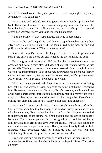scotch. He waved toward Casey and pointed to Evan's empty glass, signaling for another. "Try again, slow."

Evan smiled and nodded. Mr. Kita gave a cheesy thumbs-up and smiled back. Evan was oblivious to any conversation going on around him until he heard his boss's name. "Mr. Stillson? He's my boss and cheap." That second scotch had warmed Evan's veins and loosened his tongue.

"Yes. No business." Mr. Yasui nodded his head in agreement.

Evan laughed and slapped his hand down on top of the table, rattling their silverware. He could just picture Mr. Stillson all red in the face, huffing and puffing out his displeasure. "Then why come here?"

It was Mr. Yasui's turn to belly laugh. "To see red face in person and party!" He puffed his cheeks out and widened his eyes to make his point.

Evan laughed until he snorted. He'd walked by the conference room on occasion and noticed they often did video chats with clients instead of just phone calls. The big bosses said it was more personal; Evan thought it was a way to brag and intimidate. *Look at our nice conference room with our leather chairs and expensive art; see our imported water. Yeah, that's right, we know better, so just nod your head like a good little client.*

Wine was being poured and plates cleared as their entrees were being brought out. Evan watched Casey, hoping to see some hint that he recognized him. He seemed completely unaffected by Evan's presence, and it made Evan grind his molars together in frustration. Evan finally made his move when some artsy chocolate dessert was placed in front of him. He grabbed Casey's arm, pulling him close and said softly, "Casey, I still don't like chocolate."

Evan heard Casey's breath hitch. It was enough; enough to confirm his Casey remembered him too. He dropped his hold on Casey's arm and let him take the plate away. Evan pushed his chair back from the table, needing to find the bathroom. He looked around, not finding a sign, and decided to just ask the bartender. The bartender pointed him in the right direction and then winked at him. It was kind of creepy and gave Evan the chills. Her black hair fell to her chin, and she wore super short bangs. Her eyes were heavily lined in black makeup, which contrasted with her bright-red lips. She was big and intimidating like a warrior princess or professional wrestler.

Evan was washing his hands when Xena walked into the men's room. He watched her confidently walk up behind him and whisper in his ear, "I'm off in an hour."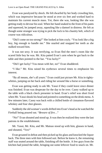Evan was paralyzed by shock. He felt dwarfed by her body crowding him, which was impressive because he stood at over six feet and worked hard to maintain his current muscle mass. Yet, there she was, looking like she was getting ready to devour his soul. When her hand snaked to the front of his pants and squeezed, he jumped away, squealing like a damsel in distress. He felt as though some stranger was trying to pick the lock to his chastity belt, which of course was ridiculous.

"Did I come on too strong?" She looked at him coyly. "You look like a big boy, big enough to handle me." She snarled and snapped her teeth as she stalked toward him.

It was not sexy. It was terrifying, so Evan fled the men's room like the scared little boy he was. Mr. Kita patted Evan's arm when he got back to the table and then pointed to the bar. "You lucky?"

"Did I get lucky? You mean with her, no!" Evan shuddered.

"I like." Mr. Kita raised his eyebrows several times to emphasize his interest.

"By all means, she's all yours." Evan could just picture Mr. Kita in tightywhities, jumping on her back and riding her around like a horse or something.

Evan was getting ready to ask Mr. Yasui if they could leave since dinner was finished. Evan was desperate for the day to be over. Casey walked up to the table with a black check presenter in hand. Evan's relief was short lived when Mr. Yasui shook his head and pointed to something on the drink menu. A few minutes later, Casey was back with a chilled bottle of cinnamon-flavored whiskey and four shot glasses.

Suddenly the old woman's words drifted into Evan's head as he watched the Fireball being poured out. "*Beware of fire…*"

"No!" Evan shouted and stood up. It was then he realized they were the last patrons in the establishment.

Mr. Yasui, Mr. Kita, and Mr. Matsuo stood up with him, glasses in hand, and shouted, "Yes!"

Evan groaned in defeat and then picked up his glass and knocked the liquor back. The three men with him followed suit. Before he knew it, the remaining staff was seated around the table, finishing off the bottle. A few guys from the kitchen had joined the table, bringing out some leftover food to snack on. Mr.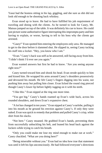Yasui had the hostess sitting in his lap, giggling, and she sure as shit did not look old enough to be shooting back whiskey.

Evan stood up to leave. He had to have fulfilled his job requirement of traveling and dining with the clients. As he turned to look for Casey, Mr. Matsuo jumped on top of the table. It was definitely his cue to leave. He could just picture some authoritative figure interrupting this impromptu party and him having to explain, or worse, having to tell to his boss why the clients got arrested.

"Casey!" Evan spotted him entering the employees only area. He managed to get to the door before it slammed shut. He slipped in, seeing Casey tucking his stuff into a locker. "Hey, you know who I am."

"Evan." Casey's back was stiff as he answered, still facing away from him. "I didn't think I'd ever see you again."

Evan wanted answers but first he had to know. "Are you seeing anyone right now?"

Casey turned toward him and shook his head. Evan strode quickly to him and kissed him. He wrapped his arms around Casey's shoulders possessively and devoured his mouth. He felt Casey's fingers digging into his waist, not pushing him away but pulling him closer. Evan licked the round ring pierced though Casey's lower lip before lightly tugging on it with his teeth.

"I like this." Evan nipped at the ring one more time.

"You got big." Casey's hands roamed up Evan's wide back, across his rounded shoulders, and down Evan's expansive chest.

"A lot has changed in ten years." Evan nipped at Casey's earlobe, pulling it into his mouth as he ground his erection against Casey's. If only they were naked. Evan was quick to remedy that problem and pulled Casey's crisp, white shirt from his slacks.

"Not here." Casey moaned. He grabbed Evan's hands, preventing them from successfully unbuckling his belt, and leaned his head back against the lockers while trying to catch his breath.

"Only you could make me lose my mind enough to make out at work." Casey chuckled. "What are you doing here?"

"Being miserable without you." Evan had no idea how true that statement was until it left his lips unconsciously. He had followed everyone's directions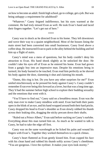on how to become an adult: finish high school, go to college, get a job. But was being unhappy a requirement for adulthood?

"Whatever." Casey feigned indifference, but his eyes warmed at the comment. He had truly missed Evan as well. He took Evan's hand and laced their fingers together. "Let's get out of here."

\*\*\*\*

Casey was in shock as he directed Evan to his home. They left downtown and wove their way to a quaint neighborhood. Most of the houses lining the main street had been converted into small businesses. Casey lived above a coffee shop. He instructed Evan to park in the alley behind the building and led him up a flight of stairs.

Casey's mind was a mess of questions, but his body couldn't deny his attraction to Evan. His hand shook slightly as he unlocked the door. He couldn't take his eyes off of Evan as he entered his home. Evan had grown from a gangly boy into an impressive man. Despite his emotions being in turmoil, his body burned to be touched. Evan read him perfectly as he shoved his body against the door, slamming it shut and claiming his mouth.

"Damn, this ring is hot. Do you have any other surprises for me?" Evan smiled mischievously as he pressed his body against Casey's. Casey couldn't remember Evan ever being this forward as a lover, but that was a long time ago. They'd had the summer before high school to explore their budding sexuality and the emotions that went with it.

"You'll have to find out," Casey said on a breathless moan. Evan was the only man ever to make Casey mindless with need. Evan had both their pants open in the blink of an eye, and his hand wrapped around both their hard pricks. Casey dropped his head to Evan's shoulder as Evan slowly rubbed his thumb across their leaking slits, dragging the sticky precum down their shafts.

"Ruled out a Prince Albert," Evan said before sucking on Casey's earlobe. Everything about this man turned him on. As much as he wanted to talk to Casey, he had to take the edge off first.

Casey was on the same wavelength as he licked his palm and wound his fingers with Evan's. Together they worked themselves to a quick climax.

Casey's heart fluttered as Evan gently kissed him. Evan cupped his face with his clean hand and rubbed his thumb softly across Casey's cheekbone. "You are gorgeous. I love the eyeliner. It makes your eyes look stormy."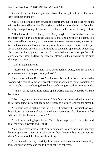Casey blushed at the compliment. "Now that we got that out of the way, let's clean up and talk."

Casey tried to take a step toward the bathroom, but tripped over his pants still pooled around his ankles. Evan tried to grab him before he hit the floor, but he only managed to wipe his cum-covered hand on the sleeve of Casey's shirt.

"Thanks for the effort, but gross." Casey laughed. He sat his bare butt on the hardwood floor, so he could untie his shoes and get rid of his pants. His shirt was half-unbuttoned, and there were cum streaks everywhere, even on his tie. He looked over at Evan, expecting to see him as rumpled he was, but nope. Evan's pants were only down to his thighs, exposing his spent cock. Otherwise, Evan was still completely dressed. "I can't believe that one, you're still completely dressed, and two, how are you clean? Is it the polyester or the pink that repels stains?"

"Don't laugh at my suit."

"Please tell me you normally have better fashion sense, and this is not a prime example of how you usually dress?"

"You have no idea. But I won't voice any dislike of this outfit because the woman who sold it to me will probably hear it and curse me or something." Evan laughed, remembering the old woman leaning on Willie's scaled head.

"What?" Casey asked as he balled up his work pants and headed toward the bathroom.

"Trust me, you don't want to know." Evan's voice trailed behind him. After they washed up, Casey grabbed some sweats and a striped tank top for himself.

"Do you want something else to wear? It'll probably be too small on you, but at least it's made out of cotton. Really, do you eat small children sprinkled with steroids for breakfast or what?"

"No. I prefer eating leprechauns. Much higher in protein," Evan joked and took the offered sweats and T-shirt.

"You must have terrible luck. You're supposed to catch them, and then they have to grant you a wish in exchange for their freedom, but instead you eat them." Casey shook his head while smiling.

"Don't you know they're tricky little bastards? Leprechauns are a morality tale, warning of greed and the follies of get-rich schemes."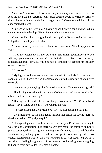"You don't say? Well, I learn something new every day. Guess I'll have to feed the one I caught yesterday to my cat in order to avoid any trickery. And to think, I was going to wish for a magic bean." Casey rubbed his chin in exaggerated thought.

"Enough with the fairy tales." Evan grabbed Casey's hand and hauled his smaller frame into his lap. "Now, I want to learn about you."

Casey couldn't help the giggles that escaped as Evan nuzzled his neck. "Stop that. I'm still just as ticklish."

"I have missed you so much," Evan said seriously. "What happened to you?"

"After my parents died, I moved to the smallest shit town in Iowa to live with my grandmother. She wasn't bad, but she lived like it was the early nineteen hundreds. It was awful. She hated technology, except for the toaster oven, of course."

"Of course."

"My high school graduation class was a total of fifty kids. I moved out as soon as I could. I went to San Francisco and started taking my music pretty seriously."

"I remember you playing a lot for me that summer. You were really good."

"Thanks. I got together with a couple of other guys, and we recorded a few albums and did some touring."

"That's great. I wonder if I've heard any of your music? What's your band name?" Evan asked excitedly. "Are you still playing?"

"We were called the Dick Monkeys. They're still playing, but I quit."

"Dick Monkeys." Evan chuckled to himself like a little kid saying "fart" at the dinner table. "Why'd you quit?"

"I love playing music, but I can't stand the lifestyle. Don't get me wrong, it was fun and exhilarating, but there wasn't any room for stability or future plans. We played gig to gig, not making enough money to eat, and then the locals starting picking up on us, and then we spent a year touring. After two years, I realized this was not the life I wanted to live. I was ready to grow up. I was tired of feeling hungover all of the time and not knowing what was going to happen from day to day. I wanted a home."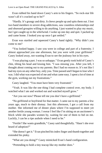Evan rubbed his hand down Casey's arm to his fingers. "So rock-star life wasn't all it's cracked up to be?"

"Hardly. It's grungy and dirty. It chews people up and spits them out. I lost two band members to severe drug addictions, saw countless relationships end and obsessed groupies willing to do anything. I just wanted to play my music, but I got caught up in the whirlwind. I woke up one day and quit. I packed up and came home. I looked you up once I got settled."

Evan was startled and squeezed Casey's hand tightly. "Why didn't you come to me?

"You looked happy. I saw you were in college and part of a fraternity. I almost approached you one afternoon, but you were with your girlfriend." Casey looked away, not wanting Evan to see the jealousy hot in his eyes.

"I was playing a part. I was so unhappy." Evan gently took hold of Casey's chin, tilting his head and kissing him. "I was missing you. After you left, I thought about coming out to my parents. But I had no reason to. It's not like I had my eyes on any other boy, only you. Time passed and I began to lose who I was. I did what was expected of me and what came easy. I spent a lot of time at the gym, working out my frustrations."

Casey laughed. "You must have been very frustrated."

"Yeah. It was like the one thing I had complete control over, my body. I watched what I ate and worked out and watched myself grow."

"Are you out now? Please tell me you don't have a girlfriend."

"No girlfriend or boyfriend for that matter. I came out to my parents a few years ago, much to their dismay. Just this afternoon, I got a call from my mother. She informed me of dinner plans where I'm supposed to meet yet another fertile young woman. I swear I feel like I'm sitting on an auctioneer's block while she parades women by, waiting for one of them to bid on me. Luckily, I can be a ripe asshole when I need to be."

"Fertile? She wants grandkids," Casey said thoughtfully. "Hasn't she ever heard of adoption?"

"She doesn't get it." Evan pinched his index finger and thumb together and extended his pinky.

"What are you doing?" Casey mimicked Evan's hand configuration.

"Pretending to hold a tiny teacup like my mother does."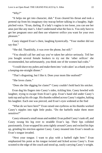#### "Why?"

"It helps me get into character, duh." Evan cleared his throat and took a pretend sip from his imaginary tiny teacup before talking in a haughty, highpitched voice. "Evan, darling. If a lady's vagina is too loose, you can use her anus just like any man's. I don't understand what the fuss is. You only have to get her pregnant once and then use whatever orifice you want for your own pleasure."

Casey slapped Evan's chest, laughing hysterically. "Your mother did not say that."

"She did. Thankfully, it was over the phone, but still."

"You should call her and say you've taken her advice seriously. Tell her you bought several female hookers to try out the 'other orifices' she recommended, but unfortunately, you think one of the women had crabs."

"I could shave my pubes and make them into 'crab cakes' as a thank you for a keeping-me-straight dinner."

"That's disgusting, but I like it. Does your mom like seafood?"

"She loves clams."

"Does she like digging for clams?" Casey couldn't hold back his snicker.

Evan dug his fingers into Casey's sides, tickling him. Casey howled with laughter, trying to escape from Evan's grip. Evan's hand slid under Casey's tank top and up his rib cage. His thumbs rubbed across Casey's nipples, halting his laughter. Each one was pierced, and Evan's eyes widened at the find

"What do we have here?" Evan raised one eyebrow as his thumbs worked Casey's nipples into tight little peaks. "Do the barbells make them more sensitive?"

Casey released a small moan and nodded. Evan pulled Casey's tank off, and Casey swung his leg over to straddle Evan's lap. Their lips collided passionately. Evan wrapped his arms tightly around Casey and rocked his hips up, grinding his erection against Casey. Casey moaned into Evan's mouth as Evan's tongue invaded.

"Next your tongue. I want to play with a barbell right here." Evan emphasized his point as his tongue twisted and licked across Casey's. Evan scooted to the edge of the couch and stood up, easily carrying Casey's weight.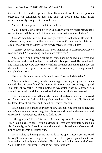Casey locked his ankles together behind Evan's back for the short trip to his bedroom. He continued to kiss and suck at Evan's neck until Evan unceremoniously dropped him onto the bed.

"Yeah!" Casey grunted as he hit the mattress.

"You know this whole thing," Evan said as he waved his finger between the two of them, "will be a whole lot more successful without any clothes."

Casey's mouth formed an O as Evan got naked in front of him. He was like a Greek statue, miles and miles of smooth muscle. Evan turned in a leisurely circle, showing off as Casey's eyes slowly traversed Evan's body.

"I can feel your eyes violating me." Evan laughed as he sidestepped Casey's reaching hand. "No touching until you are naked too."

Casey huffed and threw a pillow at Evan. Then he pulled his sweats and briefs down and sat at the edge of the bed with his legs crossed. He leaned back and raised one eyebrow before slowly lifting one knee and planting his foot on the mattress. He repeated the action with his other leg, leaving himself completely exposed.

Evan put his hands on Casey's bent knees. "You look delectable."

"Take your time." Casey smirked and dragged his fingers up and down his smooth chest. Evan followed the motion. His mouth went dry as he got a good look at the shiny barbell in each nipple. His eyes watched as Casey drew circles around the jewelry and then headed back down toward his hard arousal.

His cock was surrounded by neatly trimmed dark-blond hair. Casey stroked one finger down the dark-pink length before taking hold of his balls. He raised his knees toward his chest and waited for Evan's reaction.

Evan made a choking sound when he saw the small ring embedded between Casey's scrotum and anus. He got on his knees and stared at the treasure he'd uncovered. "Fuck, Casey. This is so fucking hot."

"Thought you'd like it." It was a pleasant surprise to learn how arousing Evan found his piercings. Getting his tongue pierced was definitely next on his list. Suddenly, he felt Evan lick the entire length of his perineum. Casey lost all brainpower as Evan devoured him.

Evan sucked at the ring, using his spittle to rub open Casey's ass. He loved hearing Casey moan and beg for more. Evan looked up and spotted a bottle of lube and a condom lying on the bed. He smiled and locked eyes with Casey. "You little slut. Think you're gonna get lucky tonight?"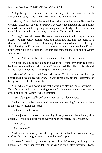"Stop being a tease and fuck me already," Casey demanded with amusement heavy in his voice. "You want to as much as I do."

"Maybe," Evan joked as he rolled the condom on and lubed up. He knew he wouldn't last long. He was so turned on by Casey. He lined up the head of his dick to Casey's stretched opening and nudged in. He slowly inched forward, his eyes falling shut with the intensity of entering Casey's tight body.

"Casey," Evan whispered. He leaned down and captured Casey's lips in a possessive kiss before pulling back and slamming into him. He built up a rhythm that had them close to climaxing. It was Casey who fell over the edge first, shouting out Evan's name as he squirted his release between them. Evan's body went rigid as he filled the condom and then collapsed on top of Casey with a grunt.

"Get off." Casey pushed at Evan's muscled body. "I can't breathe."

"No can do. You're just going to have to suffer until my brain can come back online and tell my body to move." Evan huffed. He rolled to his side and kissed Casey's shoulder. "I'm so glad I found you tonight."

"Me too." Casey grabbed Evan's discarded T-shirt and cleaned them up before snuggling up against Evan. He was exhausted, but the excitement of being with Evan kept him awake.

"So, what are you doing now that you're not playing music anymore?" Evan felt a tad guilty for not putting more effort into their conversation before attacking him, but Casey was too tempting.

"I still play, just locally and on my own terms. I love music."

"Why don't you become a music teacher or something? I wanted to be a math teacher," Evan confessed.

"What do you do now?"

"I'm a junior accountant or something. I really have no idea what my title actually is, but I do a little bit of everything at the office. I really hate it."

"Then quit."

"And do what?"

"Whatever for money and then go back to school for your teaching credentials or anything. Life is meant to be lived happy."

"I haven't been happy in a really long time. What are you doing to be happy? You can't honestly tell me serving is your life's passion." Evan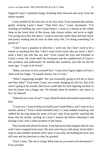fingered Casey's platinum bangs, brushing them forward and away from the darker strands.

Casey pushed all the hair now in his face back. Evan repeated the motion, gently stroking Casey's head. "That feels nice," Casey murmured. "I'm working on building my own Grand Palace. I work as a barista at the coffee shop on the lower level of this house, take classes online, and serve at night. I'm saving up to buy this place. I want to own the coffee shop and host music and poetry reading and all sorts of other artsy shit. I'm doing something I'm proud of."

"I don't have a purpose or direction. I work out, but I don't want to be a trainer or anything like that. I don't want social status like my mom. I don't need a fancy job title like my dad." Evan closed his eyes and breathed in Casey's scent. He could smell the restaurant and the sandalwood of Casey's hair products and underneath, he smelled like sunshine, just like he did ten years ago. "I want to be loved."

"Baby, you have to love yourself first." Casey drew figure eights on Evan's chest with his finger. "It sounds cheesy, but it's true."

"What's happening tonight? Are you eventually going to tell me to leave and then what?" Evan knew Casey was worth changing his life for. But if he wasn't going to be around, then Evan could take his time figuring out how to turn his future into a happy one. He already knew he needed a new place to live, by himself.

"What do you want, Evan?" Casey lifted his head and looked expectantly at him.

"I want you. I want to help you build your Grand Palace, and I want to be a teacher, damn it." Evan's smile matched Casey's. Casey nodded, leaned up, and rubbed his lip ring along the seam of Evan's lips. Evan quickly snatched the hoop into his mouth, sucking on Casey's bottom lip before releasing it and kissing Casey with a silent promise of the future.

They kissed and talked for hours. Evan had never been happier than he was with Casey wrapped in his arms. His eyes were heavy with sleep, but he didn't want to miss another moment with Casey. It was silly, but holding his lover was still new and too precious to take for granted.

"Fuck, Casey. The sun is rising. What time do you need to be downstairs?" Evan yawned.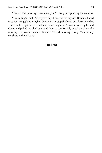"I'm off this morning. How about you?" Casey sat up facing the window.

"I'm calling in sick. After yesterday, I deserve the day off. Besides, I need to start making plans. Maybe I don't quit my stupid job yet, but I look into what I need to do to get out of it and start something new." Evan scooted up behind Casey and pulled the blanket around them to comfortably watch the dawn of a new day. He kissed Casey's shoulder. "Good morning, Casey. You are my sunshine and my heart."

### **The End**